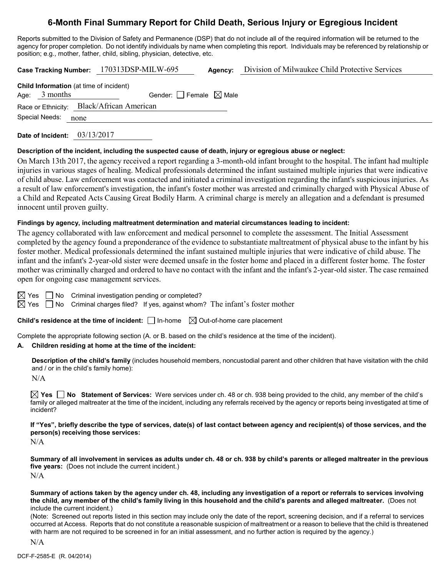# **6-Month Final Summary Report for Child Death, Serious Injury or Egregious Incident**

Reports submitted to the Division of Safety and Permanence (DSP) that do not include all of the required information will be returned to the agency for proper completion. Do not identify individuals by name when completing this report. Individuals may be referenced by relationship or position; e.g., mother, father, child, sibling, physician, detective, etc.

**Case Tracking Number:** 170313DSP-MILW-695 **Agency:** Division of Milwaukee Child Protective Services

| Age: $3$ months |                                           |  |
|-----------------|-------------------------------------------|--|
|                 | Gender: Female $\boxtimes$ Male           |  |
|                 | Race or Ethnicity: Black/African American |  |
| Special Needs:  | none                                      |  |

**Date of Incident:** 03/13/2017

#### **Description of the incident, including the suspected cause of death, injury or egregious abuse or neglect:**

On March 13th 2017, the agency received a report regarding a 3-month-old infant brought to the hospital. The infant had multiple injuries in various stages of healing. Medical professionals determined the infant sustained multiple injuries that were indicative of child abuse. Law enforcement was contacted and initiated a criminal investigation regarding the infant's suspicious injuries. As a result of law enforcement's investigation, the infant's foster mother was arrested and criminally charged with Physical Abuse of a Child and Repeated Acts Causing Great Bodily Harm. A criminal charge is merely an allegation and a defendant is presumed innocent until proven guilty.

### **Findings by agency, including maltreatment determination and material circumstances leading to incident:**

The agency collaborated with law enforcement and medical personnel to complete the assessment. The Initial Assessment completed by the agency found a preponderance of the evidence to substantiate maltreatment of physical abuse to the infant by his foster mother. Medical professionals determined the infant sustained multiple injuries that were indicative of child abuse. The infant and the infant's 2-year-old sister were deemed unsafe in the foster home and placed in a different foster home. The foster mother was criminally charged and ordered to have no contact with the infant and the infant's 2-year-old sister. The case remained open for ongoing case management services.

 $\boxtimes$  Yes  $\Box$  No Criminal investigation pending or completed?

 $\boxtimes$  Yes  $\Box$  No Criminal charges filed? If yes, against whom? The infant's foster mother

**Child's residence at the time of incident:**  $\Box$  In-home  $\Box$  Out-of-home care placement

Complete the appropriate following section (A. or B. based on the child's residence at the time of the incident).

### **A. Children residing at home at the time of the incident:**

**Description of the child's family** (includes household members, noncustodial parent and other children that have visitation with the child and / or in the child's family home):

 $N/A$ 

**Yes No Statement of Services:** Were services under ch. 48 or ch. 938 being provided to the child, any member of the child's family or alleged maltreater at the time of the incident, including any referrals received by the agency or reports being investigated at time of incident?

**If "Yes", briefly describe the type of services, date(s) of last contact between agency and recipient(s) of those services, and the person(s) receiving those services:**

N/A

**Summary of all involvement in services as adults under ch. 48 or ch. 938 by child's parents or alleged maltreater in the previous five years:** (Does not include the current incident.) N/A

**Summary of actions taken by the agency under ch. 48, including any investigation of a report or referrals to services involving the child, any member of the child's family living in this household and the child's parents and alleged maltreater.** (Does not include the current incident.)

(Note: Screened out reports listed in this section may include only the date of the report, screening decision, and if a referral to services occurred at Access. Reports that do not constitute a reasonable suspicion of maltreatment or a reason to believe that the child is threatened with harm are not required to be screened in for an initial assessment, and no further action is required by the agency.)

N/A